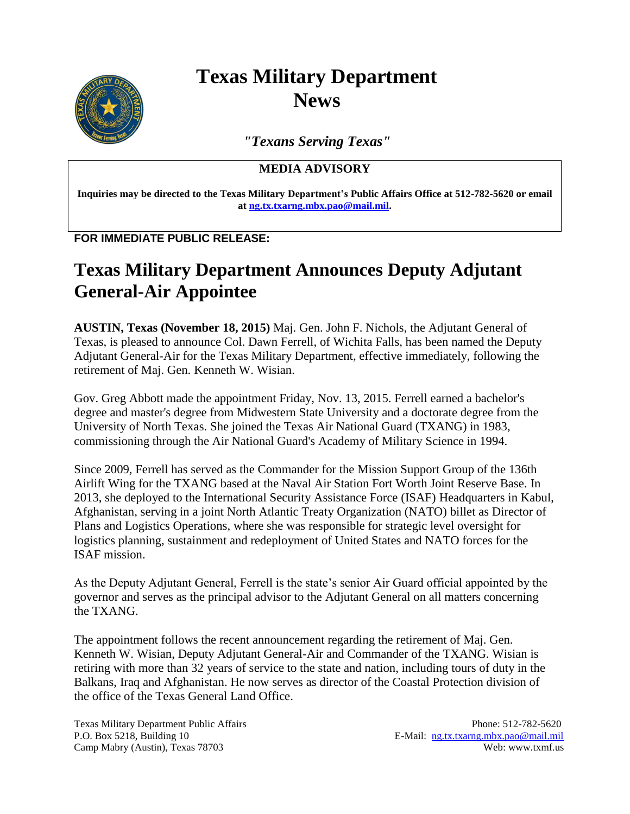

## **Texas Military Department News**

*"Texans Serving Texas"*

**MEDIA ADVISORY**

**Inquiries may be directed to the Texas Military Department's Public Affairs Office at 512-782-5620 or email at [ng.tx.txarng.mbx.pao@mail.mil.](mailto:ng.tx.txarng.mbx.pao@mail.mil)**

**FOR IMMEDIATE PUBLIC RELEASE:**

## **Texas Military Department Announces Deputy Adjutant General-Air Appointee**

**AUSTIN, Texas (November 18, 2015)** Maj. Gen. John F. Nichols, the Adjutant General of Texas, is pleased to announce Col. Dawn Ferrell, of Wichita Falls, has been named the Deputy Adjutant General-Air for the Texas Military Department, effective immediately, following the retirement of Maj. Gen. Kenneth W. Wisian.

Gov. Greg Abbott made the appointment Friday, Nov. 13, 2015. Ferrell earned a bachelor's degree and master's degree from Midwestern State University and a doctorate degree from the University of North Texas. She joined the Texas Air National Guard (TXANG) in 1983, commissioning through the Air National Guard's Academy of Military Science in 1994.

Since 2009, Ferrell has served as the Commander for the Mission Support Group of the 136th Airlift Wing for the TXANG based at the Naval Air Station Fort Worth Joint Reserve Base. In 2013, she deployed to the International Security Assistance Force (ISAF) Headquarters in Kabul, Afghanistan, serving in a joint North Atlantic Treaty Organization (NATO) billet as Director of Plans and Logistics Operations, where she was responsible for strategic level oversight for logistics planning, sustainment and redeployment of United States and NATO forces for the ISAF mission.

As the Deputy Adjutant General, Ferrell is the state's senior Air Guard official appointed by the governor and serves as the principal advisor to the Adjutant General on all matters concerning the TXANG.

The appointment follows the recent announcement regarding the retirement of Maj. Gen. Kenneth W. Wisian, Deputy Adjutant General-Air and Commander of the TXANG. Wisian is retiring with more than 32 years of service to the state and nation, including tours of duty in the Balkans, Iraq and Afghanistan. He now serves as director of the Coastal Protection division of the office of the Texas General Land Office.

Texas Military Department Public Affairs Phone: 512-782-5620 P.O. Box 5218, Building 10 E-Mail: ng.tx.txarng.mbx.pao@mail.mil Camp Mabry (Austin), Texas 78703 Web: www.txmf.us